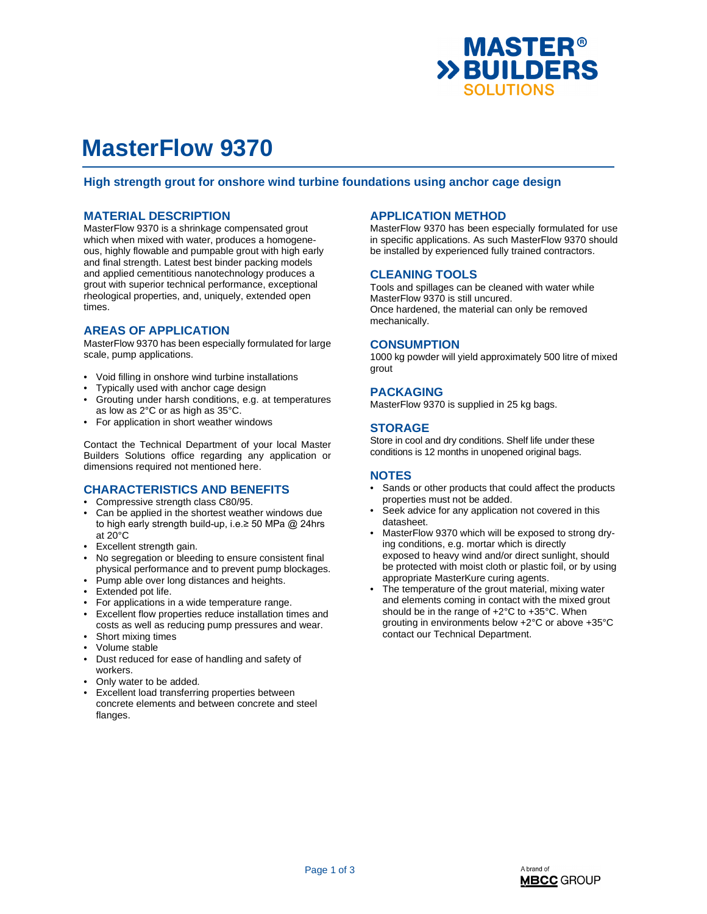

## **MasterFlow 9370**

#### **High strength grout for onshore wind turbine foundations using anchor cage design**

#### **MATERIAL DESCRIPTION**

MasterFlow 9370 is a shrinkage compensated grout which when mixed with water, produces a homogeneous, highly flowable and pumpable grout with high early and final strength. Latest best binder packing models and applied cementitious nanotechnology produces a grout with superior technical performance, exceptional rheological properties, and, uniquely, extended open times.

#### **AREAS OF APPLICATION**

MasterFlow 9370 has been especially formulated for large scale, pump applications.

- Void filling in onshore wind turbine installations
- Typically used with anchor cage design
- Grouting under harsh conditions, e.g. at temperatures as low as 2°C or as high as 35°C.
- For application in short weather windows

Contact the Technical Department of your local Master Builders Solutions office regarding any application or dimensions required not mentioned here.

### **CHARACTERISTICS AND BENEFITS**

- Compressive strength class C80/95.
- Can be applied in the shortest weather windows due to high early strength build-up, i.e.≥ 50 MPa @ 24hrs at 20°C
- Excellent strength gain.
- No segregation or bleeding to ensure consistent final physical performance and to prevent pump blockages.
- Pump able over long distances and heights.
- Extended pot life.
- For applications in a wide temperature range.
- Excellent flow properties reduce installation times and costs as well as reducing pump pressures and wear.
- Short mixing times
- Volume stable
- Dust reduced for ease of handling and safety of workers.
- Only water to be added.
- Excellent load transferring properties between concrete elements and between concrete and steel flanges.

#### **APPLICATION METHOD**

MasterFlow 9370 has been especially formulated for use in specific applications. As such MasterFlow 9370 should be installed by experienced fully trained contractors.

#### **CLEANING TOOLS**

Tools and spillages can be cleaned with water while MasterFlow 9370 is still uncured. Once hardened, the material can only be removed mechanically.

#### **CONSUMPTION**

1000 kg powder will yield approximately 500 litre of mixed grout

#### **PACKAGING**

MasterFlow 9370 is supplied in 25 kg bags.

#### **STORAGE**

Store in cool and dry conditions. Shelf life under these conditions is 12 months in unopened original bags.

#### **NOTES**

- Sands or other products that could affect the products properties must not be added.
- Seek advice for any application not covered in this datasheet.
- MasterFlow 9370 which will be exposed to strong drying conditions, e.g. mortar which is directly exposed to heavy wind and/or direct sunlight, should be protected with moist cloth or plastic foil, or by using appropriate MasterKure curing agents.
- The temperature of the grout material, mixing water and elements coming in contact with the mixed grout should be in the range of +2°C to +35°C. When grouting in environments below +2°C or above +35°C contact our Technical Department.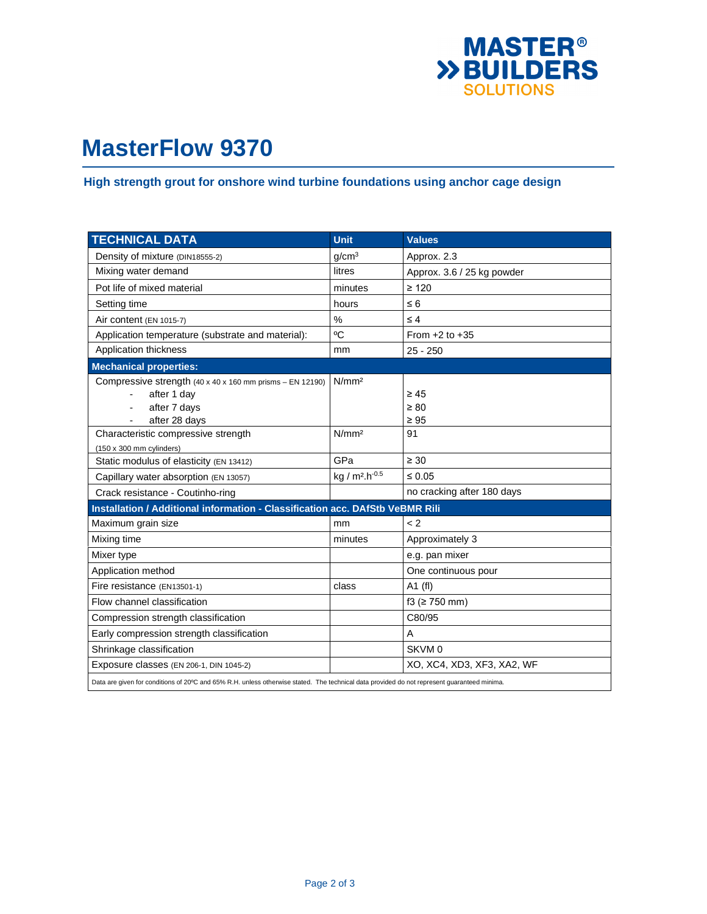

# **MasterFlow 9370**

### **High strength grout for onshore wind turbine foundations using anchor cage design**

| <b>TECHNICAL DATA</b>                                                                                                                       | <b>Unit</b>                            | Values                     |
|---------------------------------------------------------------------------------------------------------------------------------------------|----------------------------------------|----------------------------|
| Density of mixture (DIN18555-2)                                                                                                             | g/cm <sup>3</sup>                      | Approx. 2.3                |
| Mixing water demand                                                                                                                         | litres                                 | Approx. 3.6 / 25 kg powder |
| Pot life of mixed material                                                                                                                  | minutes                                | $\geq 120$                 |
| Setting time                                                                                                                                | hours                                  | $\leq 6$                   |
| Air content (EN 1015-7)                                                                                                                     | %                                      | $\leq 4$                   |
| Application temperature (substrate and material):                                                                                           | °C                                     | From $+2$ to $+35$         |
| Application thickness                                                                                                                       | mm                                     | $25 - 250$                 |
| <b>Mechanical properties:</b>                                                                                                               |                                        |                            |
| Compressive strength $(40 \times 40 \times 160 \text{ mm} \text{ prisms} - EN 12190)$                                                       | N/mm <sup>2</sup>                      |                            |
| after 1 day                                                                                                                                 |                                        | $\geq 45$                  |
| after 7 days                                                                                                                                |                                        | $\geq 80$                  |
| after 28 days                                                                                                                               |                                        | $\geq 95$                  |
| Characteristic compressive strength                                                                                                         | N/mm <sup>2</sup>                      | 91                         |
| $(150 \times 300 \text{ mm}$ cylinders)                                                                                                     |                                        |                            |
| Static modulus of elasticity (EN 13412)                                                                                                     | GPa                                    | $\geq 30$                  |
| Capillary water absorption (EN 13057)                                                                                                       | kg / m <sup>2</sup> .h <sup>-0.5</sup> | $\leq 0.05$                |
| Crack resistance - Coutinho-ring                                                                                                            |                                        | no cracking after 180 days |
| Installation / Additional information - Classification acc. DAfStb VeBMR Rili                                                               |                                        |                            |
| Maximum grain size                                                                                                                          | mm                                     | < 2                        |
| Mixing time                                                                                                                                 | minutes                                | Approximately 3            |
| Mixer type                                                                                                                                  |                                        | e.g. pan mixer             |
| Application method                                                                                                                          |                                        | One continuous pour        |
| Fire resistance (EN13501-1)                                                                                                                 | class                                  | $A1$ (fl)                  |
| Flow channel classification                                                                                                                 |                                        | $f3$ (≥ 750 mm)            |
| Compression strength classification                                                                                                         |                                        | C80/95                     |
| Early compression strength classification                                                                                                   |                                        | A                          |
| Shrinkage classification                                                                                                                    |                                        | SKVM <sub>0</sub>          |
| Exposure classes (EN 206-1, DIN 1045-2)                                                                                                     |                                        | XO, XC4, XD3, XF3, XA2, WF |
| Data are given for conditions of 20°C and 65% R.H. unless otherwise stated. The technical data provided do not represent guaranteed minima. |                                        |                            |